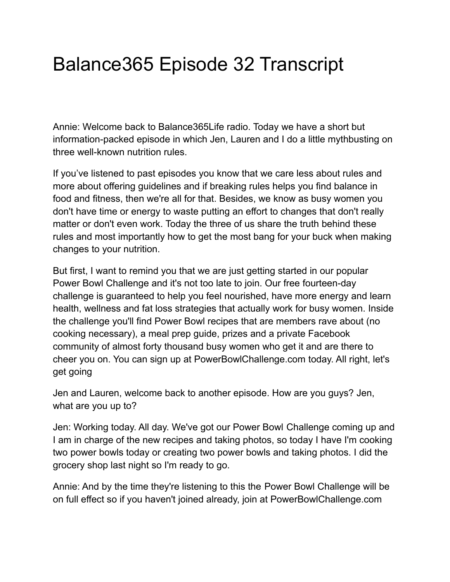## Balance365 Episode 32 Transcript

Annie: Welcome back to Balance365Life radio. Today we have a short but information-packed episode in which Jen, Lauren and I do a little mythbusting on three well-known nutrition rules.

If you've listened to past episodes you know that we care less about rules and more about offering guidelines and if breaking rules helps you find balance in food and fitness, then we're all for that. Besides, we know as busy women you don't have time or energy to waste putting an effort to changes that don't really matter or don't even work. Today the three of us share the truth behind these rules and most importantly how to get the most bang for your buck when making changes to your nutrition.

But first, I want to remind you that we are just getting started in our popular Power Bowl Challenge and it's not too late to join. Our free fourteen-day challenge is guaranteed to help you feel nourished, have more energy and learn health, wellness and fat loss strategies that actually work for busy women. Inside the challenge you'll find Power Bowl recipes that are members rave about (no cooking necessary), a meal prep guide, prizes and a private Facebook community of almost forty thousand busy women who get it and are there to cheer you on. You can sign up at PowerBowlChallenge.com today. All right, let's get going

Jen and Lauren, welcome back to another episode. How are you guys? Jen, what are you up to?

Jen: Working today. All day. We've got our Power Bowl Challenge coming up and I am in charge of the new recipes and taking photos, so today I have I'm cooking two power bowls today or creating two power bowls and taking photos. I did the grocery shop last night so I'm ready to go.

Annie: And by the time they're listening to this the Power Bowl Challenge will be on full effect so if you haven't joined already, join at PowerBowlChallenge.com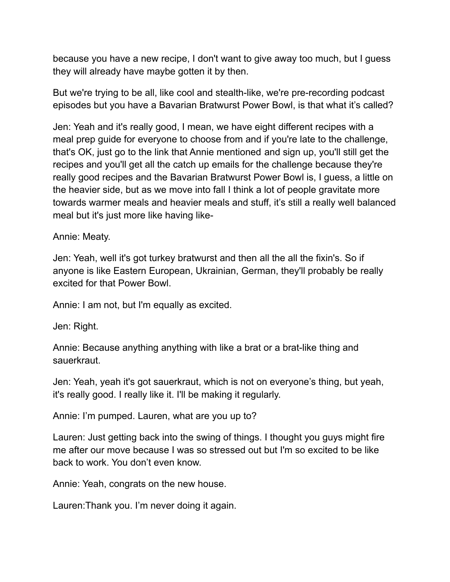because you have a new recipe, I don't want to give away too much, but I guess they will already have maybe gotten it by then.

But we're trying to be all, like cool and stealth-like, we're pre-recording podcast episodes but you have a Bavarian Bratwurst Power Bowl, is that what it's called?

Jen: Yeah and it's really good, I mean, we have eight different recipes with a meal prep guide for everyone to choose from and if you're late to the challenge, that's OK, just go to the link that Annie mentioned and sign up, you'll still get the recipes and you'll get all the catch up emails for the challenge because they're really good recipes and the Bavarian Bratwurst Power Bowl is, I guess, a little on the heavier side, but as we move into fall I think a lot of people gravitate more towards warmer meals and heavier meals and stuff, it's still a really well balanced meal but it's just more like having like-

Annie: Meaty.

Jen: Yeah, well it's got turkey bratwurst and then all the all the fixin's. So if anyone is like Eastern European, Ukrainian, German, they'll probably be really excited for that Power Bowl.

Annie: I am not, but I'm equally as excited.

Jen: Right.

Annie: Because anything anything with like a brat or a brat-like thing and sauerkraut.

Jen: Yeah, yeah it's got sauerkraut, which is not on everyone's thing, but yeah, it's really good. I really like it. I'll be making it regularly.

Annie: I'm pumped. Lauren, what are you up to?

Lauren: Just getting back into the swing of things. I thought you guys might fire me after our move because I was so stressed out but I'm so excited to be like back to work. You don't even know.

Annie: Yeah, congrats on the new house.

Lauren:Thank you. I'm never doing it again.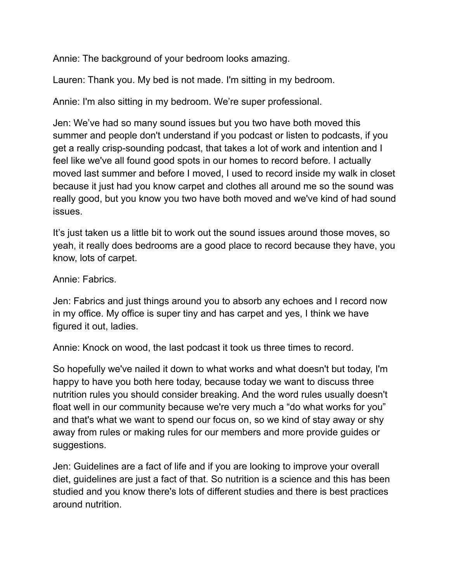Annie: The background of your bedroom looks amazing.

Lauren: Thank you. My bed is not made. I'm sitting in my bedroom.

Annie: I'm also sitting in my bedroom. We're super professional.

Jen: We've had so many sound issues but you two have both moved this summer and people don't understand if you podcast or listen to podcasts, if you get a really crisp-sounding podcast, that takes a lot of work and intention and I feel like we've all found good spots in our homes to record before. I actually moved last summer and before I moved, I used to record inside my walk in closet because it just had you know carpet and clothes all around me so the sound was really good, but you know you two have both moved and we've kind of had sound issues.

It's just taken us a little bit to work out the sound issues around those moves, so yeah, it really does bedrooms are a good place to record because they have, you know, lots of carpet.

Annie: Fabrics.

Jen: Fabrics and just things around you to absorb any echoes and I record now in my office. My office is super tiny and has carpet and yes, I think we have figured it out, ladies.

Annie: Knock on wood, the last podcast it took us three times to record.

So hopefully we've nailed it down to what works and what doesn't but today, I'm happy to have you both here today, because today we want to discuss three nutrition rules you should consider breaking. And the word rules usually doesn't float well in our community because we're very much a "do what works for you" and that's what we want to spend our focus on, so we kind of stay away or shy away from rules or making rules for our members and more provide guides or suggestions.

Jen: Guidelines are a fact of life and if you are looking to improve your overall diet, guidelines are just a fact of that. So nutrition is a science and this has been studied and you know there's lots of different studies and there is best practices around nutrition.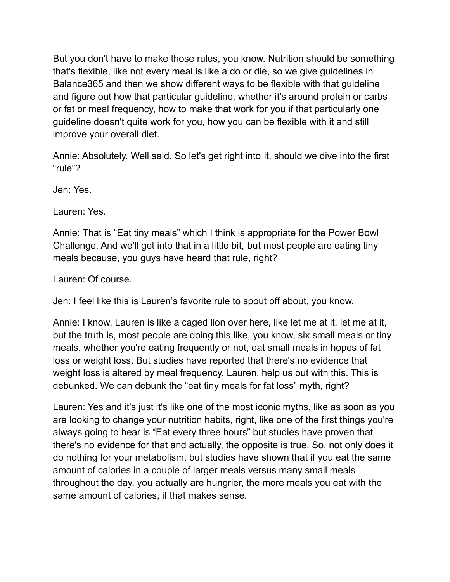But you don't have to make those rules, you know. Nutrition should be something that's flexible, like not every meal is like a do or die, so we give guidelines in Balance365 and then we show different ways to be flexible with that guideline and figure out how that particular guideline, whether it's around protein or carbs or fat or meal frequency, how to make that work for you if that particularly one guideline doesn't quite work for you, how you can be flexible with it and still improve your overall diet.

Annie: Absolutely. Well said. So let's get right into it, should we dive into the first "rule"?

Jen: Yes.

Lauren: Yes.

Annie: That is "Eat tiny meals" which I think is appropriate for the Power Bowl Challenge. And we'll get into that in a little bit, but most people are eating tiny meals because, you guys have heard that rule, right?

Lauren: Of course.

Jen: I feel like this is Lauren's favorite rule to spout off about, you know.

Annie: I know, Lauren is like a caged lion over here, like let me at it, let me at it, but the truth is, most people are doing this like, you know, six small meals or tiny meals, whether you're eating frequently or not, eat small meals in hopes of fat loss or weight loss. But studies have reported that there's no evidence that weight loss is altered by meal frequency. Lauren, help us out with this. This is debunked. We can debunk the "eat tiny meals for fat loss" myth, right?

Lauren: Yes and it's just it's like one of the most iconic myths, like as soon as you are looking to change your nutrition habits, right, like one of the first things you're always going to hear is "Eat every three hours" but studies have proven that there's no evidence for that and actually, the opposite is true. So, not only does it do nothing for your metabolism, but studies have shown that if you eat the same amount of calories in a couple of larger meals versus many small meals throughout the day, you actually are hungrier, the more meals you eat with the same amount of calories, if that makes sense.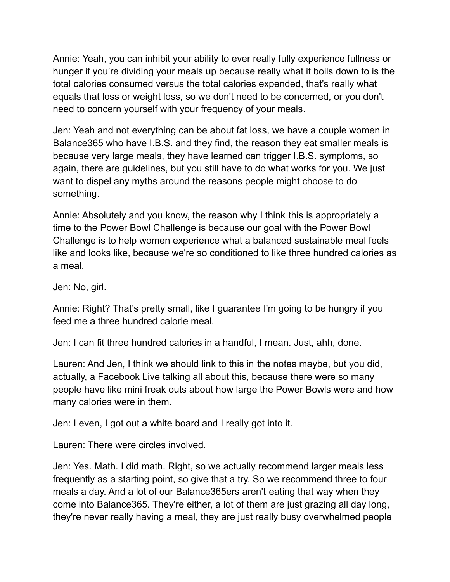Annie: Yeah, you can inhibit your ability to ever really fully experience fullness or hunger if you're dividing your meals up because really what it boils down to is the total calories consumed versus the total calories expended, that's really what equals that loss or weight loss, so we don't need to be concerned, or you don't need to concern yourself with your frequency of your meals.

Jen: Yeah and not everything can be about fat loss, we have a couple women in Balance365 who have I.B.S. and they find, the reason they eat smaller meals is because very large meals, they have learned can trigger I.B.S. symptoms, so again, there are guidelines, but you still have to do what works for you. We just want to dispel any myths around the reasons people might choose to do something.

Annie: Absolutely and you know, the reason why I think this is appropriately a time to the Power Bowl Challenge is because our goal with the Power Bowl Challenge is to help women experience what a balanced sustainable meal feels like and looks like, because we're so conditioned to like three hundred calories as a meal.

Jen: No, girl.

Annie: Right? That's pretty small, like I guarantee I'm going to be hungry if you feed me a three hundred calorie meal.

Jen: I can fit three hundred calories in a handful, I mean. Just, ahh, done.

Lauren: And Jen, I think we should link to this in the notes maybe, but you did, actually, a Facebook Live talking all about this, because there were so many people have like mini freak outs about how large the Power Bowls were and how many calories were in them.

Jen: I even, I got out a white board and I really got into it.

Lauren: There were circles involved.

Jen: Yes. Math. I did math. Right, so we actually recommend larger meals less frequently as a starting point, so give that a try. So we recommend three to four meals a day. And a lot of our Balance365ers aren't eating that way when they come into Balance365. They're either, a lot of them are just grazing all day long, they're never really having a meal, they are just really busy overwhelmed people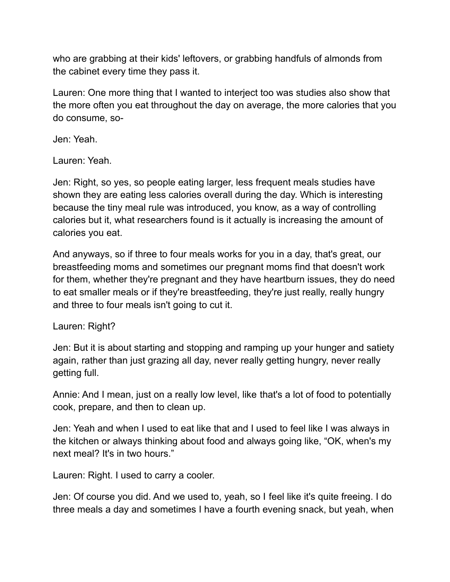who are grabbing at their kids' leftovers, or grabbing handfuls of almonds from the cabinet every time they pass it.

Lauren: One more thing that I wanted to interject too was studies also show that the more often you eat throughout the day on average, the more calories that you do consume, so-

Jen: Yeah.

Lauren: Yeah.

Jen: Right, so yes, so people eating larger, less frequent meals studies have shown they are eating less calories overall during the day. Which is interesting because the tiny meal rule was introduced, you know, as a way of controlling calories but it, what researchers found is it actually is increasing the amount of calories you eat.

And anyways, so if three to four meals works for you in a day, that's great, our breastfeeding moms and sometimes our pregnant moms find that doesn't work for them, whether they're pregnant and they have heartburn issues, they do need to eat smaller meals or if they're breastfeeding, they're just really, really hungry and three to four meals isn't going to cut it.

## Lauren: Right?

Jen: But it is about starting and stopping and ramping up your hunger and satiety again, rather than just grazing all day, never really getting hungry, never really getting full.

Annie: And I mean, just on a really low level, like that's a lot of food to potentially cook, prepare, and then to clean up.

Jen: Yeah and when I used to eat like that and I used to feel like I was always in the kitchen or always thinking about food and always going like, "OK, when's my next meal? It's in two hours."

Lauren: Right. I used to carry a cooler.

Jen: Of course you did. And we used to, yeah, so I feel like it's quite freeing. I do three meals a day and sometimes I have a fourth evening snack, but yeah, when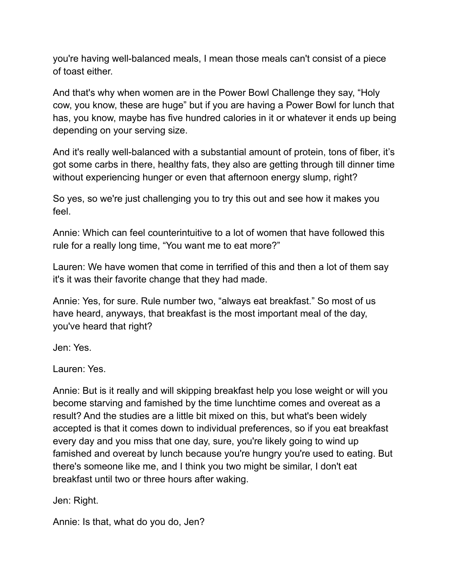you're having well-balanced meals, I mean those meals can't consist of a piece of toast either.

And that's why when women are in the Power Bowl Challenge they say, "Holy cow, you know, these are huge" but if you are having a Power Bowl for lunch that has, you know, maybe has five hundred calories in it or whatever it ends up being depending on your serving size.

And it's really well-balanced with a substantial amount of protein, tons of fiber, it's got some carbs in there, healthy fats, they also are getting through till dinner time without experiencing hunger or even that afternoon energy slump, right?

So yes, so we're just challenging you to try this out and see how it makes you feel.

Annie: Which can feel counterintuitive to a lot of women that have followed this rule for a really long time, "You want me to eat more?"

Lauren: We have women that come in terrified of this and then a lot of them say it's it was their favorite change that they had made.

Annie: Yes, for sure. Rule number two, "always eat breakfast." So most of us have heard, anyways, that breakfast is the most important meal of the day, you've heard that right?

Jen: Yes.

Lauren: Yes.

Annie: But is it really and will skipping breakfast help you lose weight or will you become starving and famished by the time lunchtime comes and overeat as a result? And the studies are a little bit mixed on this, but what's been widely accepted is that it comes down to individual preferences, so if you eat breakfast every day and you miss that one day, sure, you're likely going to wind up famished and overeat by lunch because you're hungry you're used to eating. But there's someone like me, and I think you two might be similar, I don't eat breakfast until two or three hours after waking.

Jen: Right.

Annie: Is that, what do you do, Jen?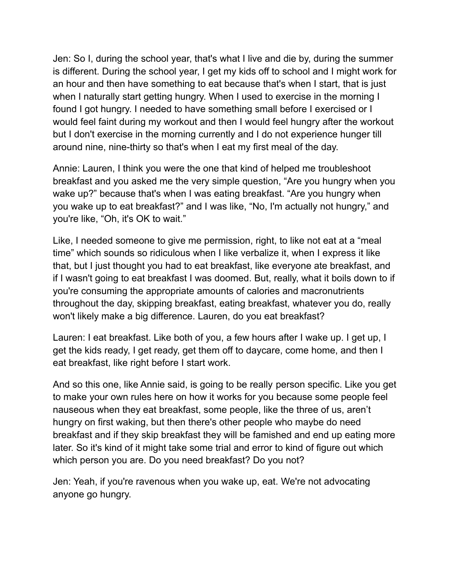Jen: So I, during the school year, that's what I live and die by, during the summer is different. During the school year, I get my kids off to school and I might work for an hour and then have something to eat because that's when I start, that is just when I naturally start getting hungry. When I used to exercise in the morning I found I got hungry. I needed to have something small before I exercised or I would feel faint during my workout and then I would feel hungry after the workout but I don't exercise in the morning currently and I do not experience hunger till around nine, nine-thirty so that's when I eat my first meal of the day.

Annie: Lauren, I think you were the one that kind of helped me troubleshoot breakfast and you asked me the very simple question, "Are you hungry when you wake up?" because that's when I was eating breakfast. "Are you hungry when you wake up to eat breakfast?" and I was like, "No, I'm actually not hungry," and you're like, "Oh, it's OK to wait."

Like, I needed someone to give me permission, right, to like not eat at a "meal time" which sounds so ridiculous when I like verbalize it, when I express it like that, but I just thought you had to eat breakfast, like everyone ate breakfast, and if I wasn't going to eat breakfast I was doomed. But, really, what it boils down to if you're consuming the appropriate amounts of calories and macronutrients throughout the day, skipping breakfast, eating breakfast, whatever you do, really won't likely make a big difference. Lauren, do you eat breakfast?

Lauren: I eat breakfast. Like both of you, a few hours after I wake up. I get up, I get the kids ready, I get ready, get them off to daycare, come home, and then I eat breakfast, like right before I start work.

And so this one, like Annie said, is going to be really person specific. Like you get to make your own rules here on how it works for you because some people feel nauseous when they eat breakfast, some people, like the three of us, aren't hungry on first waking, but then there's other people who maybe do need breakfast and if they skip breakfast they will be famished and end up eating more later. So it's kind of it might take some trial and error to kind of figure out which which person you are. Do you need breakfast? Do you not?

Jen: Yeah, if you're ravenous when you wake up, eat. We're not advocating anyone go hungry.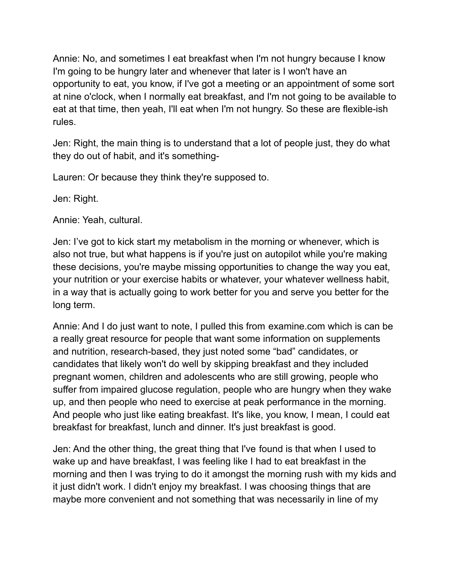Annie: No, and sometimes I eat breakfast when I'm not hungry because I know I'm going to be hungry later and whenever that later is I won't have an opportunity to eat, you know, if I've got a meeting or an appointment of some sort at nine o'clock, when I normally eat breakfast, and I'm not going to be available to eat at that time, then yeah, I'll eat when I'm not hungry. So these are flexible-ish rules.

Jen: Right, the main thing is to understand that a lot of people just, they do what they do out of habit, and it's something-

Lauren: Or because they think they're supposed to.

Jen: Right.

Annie: Yeah, cultural.

Jen: I've got to kick start my metabolism in the morning or whenever, which is also not true, but what happens is if you're just on autopilot while you're making these decisions, you're maybe missing opportunities to change the way you eat, your nutrition or your exercise habits or whatever, your whatever wellness habit, in a way that is actually going to work better for you and serve you better for the long term.

Annie: And I do just want to note, I pulled this from examine.com which is can be a really great resource for people that want some information on supplements and nutrition, research-based, they just noted some "bad" candidates, or candidates that likely won't do well by skipping breakfast and they included pregnant women, children and adolescents who are still growing, people who suffer from impaired glucose regulation, people who are hungry when they wake up, and then people who need to exercise at peak performance in the morning. And people who just like eating breakfast. It's like, you know, I mean, I could eat breakfast for breakfast, lunch and dinner. It's just breakfast is good.

Jen: And the other thing, the great thing that I've found is that when I used to wake up and have breakfast, I was feeling like I had to eat breakfast in the morning and then I was trying to do it amongst the morning rush with my kids and it just didn't work. I didn't enjoy my breakfast. I was choosing things that are maybe more convenient and not something that was necessarily in line of my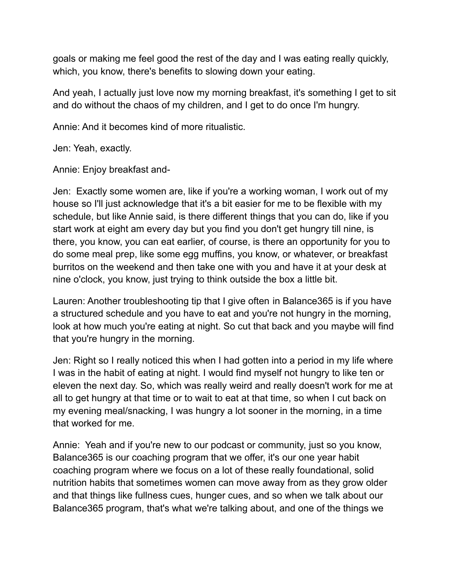goals or making me feel good the rest of the day and I was eating really quickly, which, you know, there's benefits to slowing down your eating.

And yeah, I actually just love now my morning breakfast, it's something I get to sit and do without the chaos of my children, and I get to do once I'm hungry.

Annie: And it becomes kind of more ritualistic.

Jen: Yeah, exactly.

Annie: Enjoy breakfast and-

Jen: Exactly some women are, like if you're a working woman, I work out of my house so I'll just acknowledge that it's a bit easier for me to be flexible with my schedule, but like Annie said, is there different things that you can do, like if you start work at eight am every day but you find you don't get hungry till nine, is there, you know, you can eat earlier, of course, is there an opportunity for you to do some meal prep, like some egg muffins, you know, or whatever, or breakfast burritos on the weekend and then take one with you and have it at your desk at nine o'clock, you know, just trying to think outside the box a little bit.

Lauren: Another troubleshooting tip that I give often in Balance365 is if you have a structured schedule and you have to eat and you're not hungry in the morning, look at how much you're eating at night. So cut that back and you maybe will find that you're hungry in the morning.

Jen: Right so I really noticed this when I had gotten into a period in my life where I was in the habit of eating at night. I would find myself not hungry to like ten or eleven the next day. So, which was really weird and really doesn't work for me at all to get hungry at that time or to wait to eat at that time, so when I cut back on my evening meal/snacking, I was hungry a lot sooner in the morning, in a time that worked for me.

Annie: Yeah and if you're new to our podcast or community, just so you know, Balance365 is our coaching program that we offer, it's our one year habit coaching program where we focus on a lot of these really foundational, solid nutrition habits that sometimes women can move away from as they grow older and that things like fullness cues, hunger cues, and so when we talk about our Balance365 program, that's what we're talking about, and one of the things we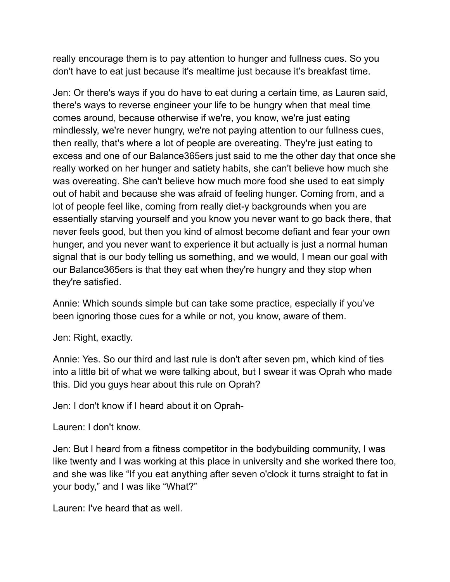really encourage them is to pay attention to hunger and fullness cues. So you don't have to eat just because it's mealtime just because it's breakfast time.

Jen: Or there's ways if you do have to eat during a certain time, as Lauren said, there's ways to reverse engineer your life to be hungry when that meal time comes around, because otherwise if we're, you know, we're just eating mindlessly, we're never hungry, we're not paying attention to our fullness cues, then really, that's where a lot of people are overeating. They're just eating to excess and one of our Balance365ers just said to me the other day that once she really worked on her hunger and satiety habits, she can't believe how much she was overeating. She can't believe how much more food she used to eat simply out of habit and because she was afraid of feeling hunger. Coming from, and a lot of people feel like, coming from really diet-y backgrounds when you are essentially starving yourself and you know you never want to go back there, that never feels good, but then you kind of almost become defiant and fear your own hunger, and you never want to experience it but actually is just a normal human signal that is our body telling us something, and we would, I mean our goal with our Balance365ers is that they eat when they're hungry and they stop when they're satisfied.

Annie: Which sounds simple but can take some practice, especially if you've been ignoring those cues for a while or not, you know, aware of them.

Jen: Right, exactly.

Annie: Yes. So our third and last rule is don't after seven pm, which kind of ties into a little bit of what we were talking about, but I swear it was Oprah who made this. Did you guys hear about this rule on Oprah?

Jen: I don't know if I heard about it on Oprah-

Lauren: I don't know.

Jen: But I heard from a fitness competitor in the bodybuilding community, I was like twenty and I was working at this place in university and she worked there too, and she was like "If you eat anything after seven o'clock it turns straight to fat in your body," and I was like "What?"

Lauren: I've heard that as well.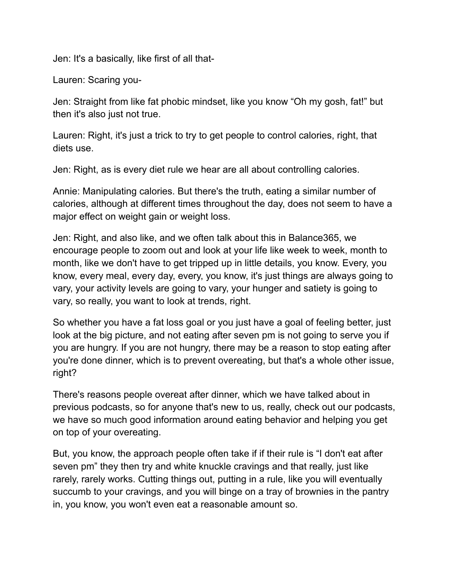Jen: It's a basically, like first of all that-

Lauren: Scaring you-

Jen: Straight from like fat phobic mindset, like you know "Oh my gosh, fat!" but then it's also just not true.

Lauren: Right, it's just a trick to try to get people to control calories, right, that diets use.

Jen: Right, as is every diet rule we hear are all about controlling calories.

Annie: Manipulating calories. But there's the truth, eating a similar number of calories, although at different times throughout the day, does not seem to have a major effect on weight gain or weight loss.

Jen: Right, and also like, and we often talk about this in Balance365, we encourage people to zoom out and look at your life like week to week, month to month, like we don't have to get tripped up in little details, you know. Every, you know, every meal, every day, every, you know, it's just things are always going to vary, your activity levels are going to vary, your hunger and satiety is going to vary, so really, you want to look at trends, right.

So whether you have a fat loss goal or you just have a goal of feeling better, just look at the big picture, and not eating after seven pm is not going to serve you if you are hungry. If you are not hungry, there may be a reason to stop eating after you're done dinner, which is to prevent overeating, but that's a whole other issue, right?

There's reasons people overeat after dinner, which we have talked about in previous podcasts, so for anyone that's new to us, really, check out our podcasts, we have so much good information around eating behavior and helping you get on top of your overeating.

But, you know, the approach people often take if if their rule is "I don't eat after seven pm" they then try and white knuckle cravings and that really, just like rarely, rarely works. Cutting things out, putting in a rule, like you will eventually succumb to your cravings, and you will binge on a tray of brownies in the pantry in, you know, you won't even eat a reasonable amount so.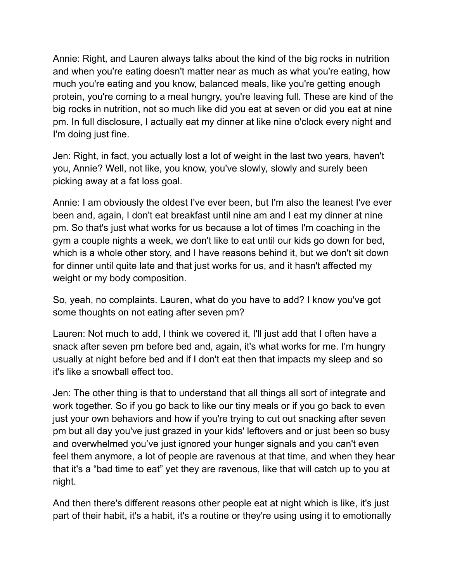Annie: Right, and Lauren always talks about the kind of the big rocks in nutrition and when you're eating doesn't matter near as much as what you're eating, how much you're eating and you know, balanced meals, like you're getting enough protein, you're coming to a meal hungry, you're leaving full. These are kind of the big rocks in nutrition, not so much like did you eat at seven or did you eat at nine pm. In full disclosure, I actually eat my dinner at like nine o'clock every night and I'm doing just fine.

Jen: Right, in fact, you actually lost a lot of weight in the last two years, haven't you, Annie? Well, not like, you know, you've slowly, slowly and surely been picking away at a fat loss goal.

Annie: I am obviously the oldest I've ever been, but I'm also the leanest I've ever been and, again, I don't eat breakfast until nine am and I eat my dinner at nine pm. So that's just what works for us because a lot of times I'm coaching in the gym a couple nights a week, we don't like to eat until our kids go down for bed, which is a whole other story, and I have reasons behind it, but we don't sit down for dinner until quite late and that just works for us, and it hasn't affected my weight or my body composition.

So, yeah, no complaints. Lauren, what do you have to add? I know you've got some thoughts on not eating after seven pm?

Lauren: Not much to add, I think we covered it, I'll just add that I often have a snack after seven pm before bed and, again, it's what works for me. I'm hungry usually at night before bed and if I don't eat then that impacts my sleep and so it's like a snowball effect too.

Jen: The other thing is that to understand that all things all sort of integrate and work together. So if you go back to like our tiny meals or if you go back to even just your own behaviors and how if you're trying to cut out snacking after seven pm but all day you've just grazed in your kids' leftovers and or just been so busy and overwhelmed you've just ignored your hunger signals and you can't even feel them anymore, a lot of people are ravenous at that time, and when they hear that it's a "bad time to eat" yet they are ravenous, like that will catch up to you at night.

And then there's different reasons other people eat at night which is like, it's just part of their habit, it's a habit, it's a routine or they're using using it to emotionally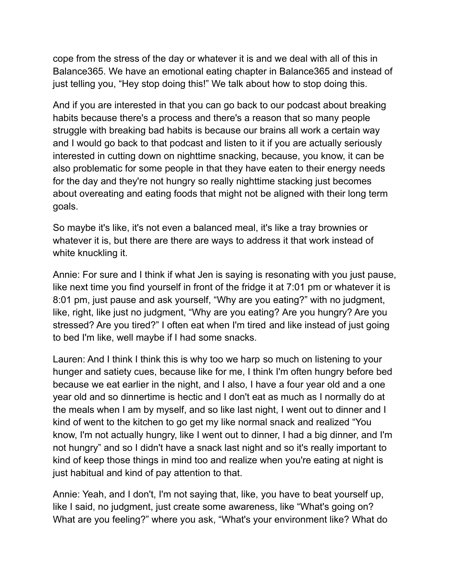cope from the stress of the day or whatever it is and we deal with all of this in Balance365. We have an emotional eating chapter in Balance365 and instead of just telling you, "Hey stop doing this!" We talk about how to stop doing this.

And if you are interested in that you can go back to our podcast about breaking habits because there's a process and there's a reason that so many people struggle with breaking bad habits is because our brains all work a certain way and I would go back to that podcast and listen to it if you are actually seriously interested in cutting down on nighttime snacking, because, you know, it can be also problematic for some people in that they have eaten to their energy needs for the day and they're not hungry so really nighttime stacking just becomes about overeating and eating foods that might not be aligned with their long term goals.

So maybe it's like, it's not even a balanced meal, it's like a tray brownies or whatever it is, but there are there are ways to address it that work instead of white knuckling it.

Annie: For sure and I think if what Jen is saying is resonating with you just pause, like next time you find yourself in front of the fridge it at 7:01 pm or whatever it is 8:01 pm, just pause and ask yourself, "Why are you eating?" with no judgment, like, right, like just no judgment, "Why are you eating? Are you hungry? Are you stressed? Are you tired?" I often eat when I'm tired and like instead of just going to bed I'm like, well maybe if I had some snacks.

Lauren: And I think I think this is why too we harp so much on listening to your hunger and satiety cues, because like for me, I think I'm often hungry before bed because we eat earlier in the night, and I also, I have a four year old and a one year old and so dinnertime is hectic and I don't eat as much as I normally do at the meals when I am by myself, and so like last night, I went out to dinner and I kind of went to the kitchen to go get my like normal snack and realized "You know, I'm not actually hungry, like I went out to dinner, I had a big dinner, and I'm not hungry" and so I didn't have a snack last night and so it's really important to kind of keep those things in mind too and realize when you're eating at night is just habitual and kind of pay attention to that.

Annie: Yeah, and I don't, I'm not saying that, like, you have to beat yourself up, like I said, no judgment, just create some awareness, like "What's going on? What are you feeling?" where you ask, "What's your environment like? What do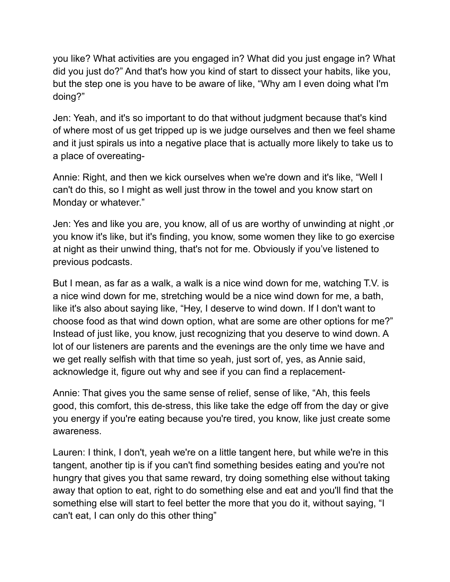you like? What activities are you engaged in? What did you just engage in? What did you just do?" And that's how you kind of start to dissect your habits, like you, but the step one is you have to be aware of like, "Why am I even doing what I'm doing?"

Jen: Yeah, and it's so important to do that without judgment because that's kind of where most of us get tripped up is we judge ourselves and then we feel shame and it just spirals us into a negative place that is actually more likely to take us to a place of overeating-

Annie: Right, and then we kick ourselves when we're down and it's like, "Well I can't do this, so I might as well just throw in the towel and you know start on Monday or whatever."

Jen: Yes and like you are, you know, all of us are worthy of unwinding at night ,or you know it's like, but it's finding, you know, some women they like to go exercise at night as their unwind thing, that's not for me. Obviously if you've listened to previous podcasts.

But I mean, as far as a walk, a walk is a nice wind down for me, watching T.V. is a nice wind down for me, stretching would be a nice wind down for me, a bath, like it's also about saying like, "Hey, I deserve to wind down. If I don't want to choose food as that wind down option, what are some are other options for me?" Instead of just like, you know, just recognizing that you deserve to wind down. A lot of our listeners are parents and the evenings are the only time we have and we get really selfish with that time so yeah, just sort of, yes, as Annie said, acknowledge it, figure out why and see if you can find a replacement-

Annie: That gives you the same sense of relief, sense of like, "Ah, this feels good, this comfort, this de-stress, this like take the edge off from the day or give you energy if you're eating because you're tired, you know, like just create some awareness.

Lauren: I think, I don't, yeah we're on a little tangent here, but while we're in this tangent, another tip is if you can't find something besides eating and you're not hungry that gives you that same reward, try doing something else without taking away that option to eat, right to do something else and eat and you'll find that the something else will start to feel better the more that you do it, without saying, "I can't eat, I can only do this other thing"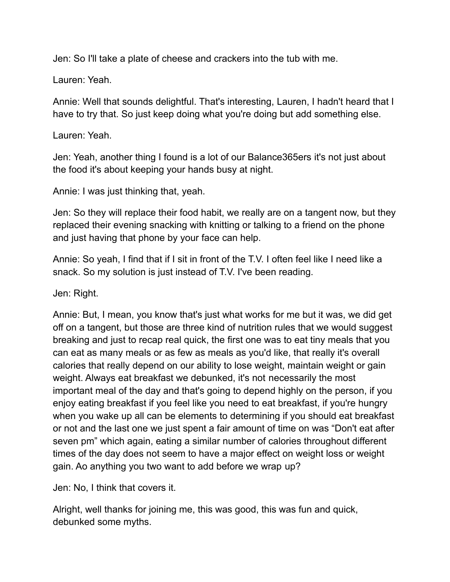Jen: So I'll take a plate of cheese and crackers into the tub with me.

Lauren: Yeah.

Annie: Well that sounds delightful. That's interesting, Lauren, I hadn't heard that I have to try that. So just keep doing what you're doing but add something else.

Lauren: Yeah.

Jen: Yeah, another thing I found is a lot of our Balance365ers it's not just about the food it's about keeping your hands busy at night.

Annie: I was just thinking that, yeah.

Jen: So they will replace their food habit, we really are on a tangent now, but they replaced their evening snacking with knitting or talking to a friend on the phone and just having that phone by your face can help.

Annie: So yeah, I find that if I sit in front of the T.V. I often feel like I need like a snack. So my solution is just instead of T.V. I've been reading.

Jen: Right.

Annie: But, I mean, you know that's just what works for me but it was, we did get off on a tangent, but those are three kind of nutrition rules that we would suggest breaking and just to recap real quick, the first one was to eat tiny meals that you can eat as many meals or as few as meals as you'd like, that really it's overall calories that really depend on our ability to lose weight, maintain weight or gain weight. Always eat breakfast we debunked, it's not necessarily the most important meal of the day and that's going to depend highly on the person, if you enjoy eating breakfast if you feel like you need to eat breakfast, if you're hungry when you wake up all can be elements to determining if you should eat breakfast or not and the last one we just spent a fair amount of time on was "Don't eat after seven pm" which again, eating a similar number of calories throughout different times of the day does not seem to have a major effect on weight loss or weight gain. Ao anything you two want to add before we wrap up?

Jen: No, I think that covers it.

Alright, well thanks for joining me, this was good, this was fun and quick, debunked some myths.